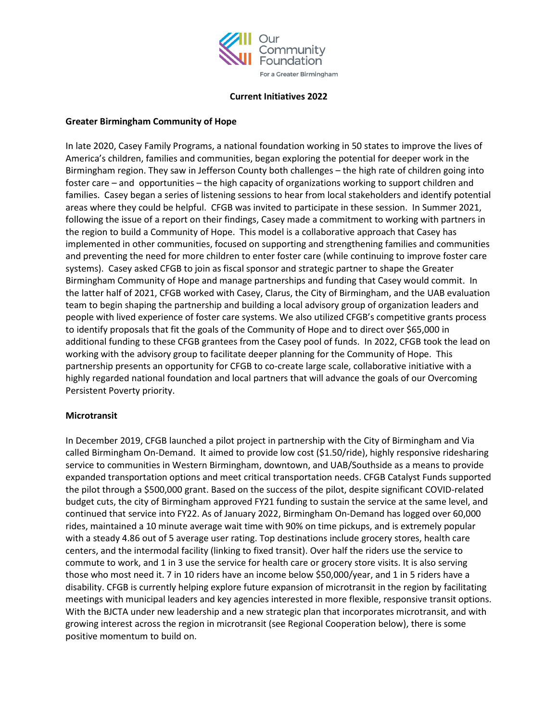

#### **Current Initiatives 2022**

### **Greater Birmingham Community of Hope**

In late 2020, Casey Family Programs, a national foundation working in 50 states to improve the lives of America's children, families and communities, began exploring the potential for deeper work in the Birmingham region. They saw in Jefferson County both challenges – the high rate of children going into foster care – and opportunities – the high capacity of organizations working to support children and families. Casey began a series of listening sessions to hear from local stakeholders and identify potential areas where they could be helpful. CFGB was invited to participate in these session. In Summer 2021, following the issue of a report on their findings, Casey made a commitment to working with partners in the region to build a Community of Hope. This model is a collaborative approach that Casey has implemented in other communities, focused on supporting and strengthening families and communities and preventing the need for more children to enter foster care (while continuing to improve foster care systems). Casey asked CFGB to join as fiscal sponsor and strategic partner to shape the Greater Birmingham Community of Hope and manage partnerships and funding that Casey would commit. In the latter half of 2021, CFGB worked with Casey, Clarus, the City of Birmingham, and the UAB evaluation team to begin shaping the partnership and building a local advisory group of organization leaders and people with lived experience of foster care systems. We also utilized CFGB's competitive grants process to identify proposals that fit the goals of the Community of Hope and to direct over \$65,000 in additional funding to these CFGB grantees from the Casey pool of funds. In 2022, CFGB took the lead on working with the advisory group to facilitate deeper planning for the Community of Hope. This partnership presents an opportunity for CFGB to co-create large scale, collaborative initiative with a highly regarded national foundation and local partners that will advance the goals of our Overcoming Persistent Poverty priority.

# **Microtransit**

In December 2019, CFGB launched a pilot project in partnership with the City of Birmingham and Via called Birmingham On-Demand. It aimed to provide low cost (\$1.50/ride), highly responsive ridesharing service to communities in Western Birmingham, downtown, and UAB/Southside as a means to provide expanded transportation options and meet critical transportation needs. CFGB Catalyst Funds supported the pilot through a \$500,000 grant. Based on the success of the pilot, despite significant COVID-related budget cuts, the city of Birmingham approved FY21 funding to sustain the service at the same level, and continued that service into FY22. As of January 2022, Birmingham On-Demand has logged over 60,000 rides, maintained a 10 minute average wait time with 90% on time pickups, and is extremely popular with a steady 4.86 out of 5 average user rating. Top destinations include grocery stores, health care centers, and the intermodal facility (linking to fixed transit). Over half the riders use the service to commute to work, and 1 in 3 use the service for health care or grocery store visits. It is also serving those who most need it. 7 in 10 riders have an income below \$50,000/year, and 1 in 5 riders have a disability. CFGB is currently helping explore future expansion of microtransit in the region by facilitating meetings with municipal leaders and key agencies interested in more flexible, responsive transit options. With the BJCTA under new leadership and a new strategic plan that incorporates microtransit, and with growing interest across the region in microtransit (see Regional Cooperation below), there is some positive momentum to build on.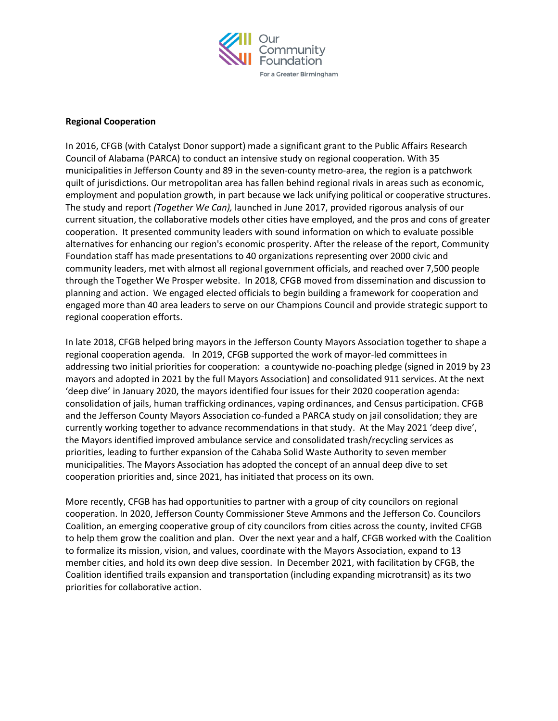

#### **Regional Cooperation**

In 2016, CFGB (with Catalyst Donor support) made a significant grant to the Public Affairs Research Council of Alabama (PARCA) to conduct an intensive study on regional cooperation. With 35 municipalities in Jefferson County and 89 in the seven-county metro-area, the region is a patchwork quilt of jurisdictions. Our metropolitan area has fallen behind regional rivals in areas such as economic, employment and population growth, in part because we lack unifying political or cooperative structures. The study and report *(Together We Can),* launched in June 2017, provided rigorous analysis of our current situation, the collaborative models other cities have employed, and the pros and cons of greater cooperation. It presented community leaders with sound information on which to evaluate possible alternatives for enhancing our region's economic prosperity. After the release of the report, Community Foundation staff has made presentations to 40 organizations representing over 2000 civic and community leaders, met with almost all regional government officials, and reached over 7,500 people through the Together We Prosper website. In 2018, CFGB moved from dissemination and discussion to planning and action. We engaged elected officials to begin building a framework for cooperation and engaged more than 40 area leaders to serve on our Champions Council and provide strategic support to regional cooperation efforts.

In late 2018, CFGB helped bring mayors in the Jefferson County Mayors Association together to shape a regional cooperation agenda. In 2019, CFGB supported the work of mayor-led committees in addressing two initial priorities for cooperation: a countywide no-poaching pledge (signed in 2019 by 23 mayors and adopted in 2021 by the full Mayors Association) and consolidated 911 services. At the next 'deep dive' in January 2020, the mayors identified four issues for their 2020 cooperation agenda: consolidation of jails, human trafficking ordinances, vaping ordinances, and Census participation. CFGB and the Jefferson County Mayors Association co-funded a PARCA study on jail consolidation; they are currently working together to advance recommendations in that study. At the May 2021 'deep dive', the Mayors identified improved ambulance service and consolidated trash/recycling services as priorities, leading to further expansion of the Cahaba Solid Waste Authority to seven member municipalities. The Mayors Association has adopted the concept of an annual deep dive to set cooperation priorities and, since 2021, has initiated that process on its own.

More recently, CFGB has had opportunities to partner with a group of city councilors on regional cooperation. In 2020, Jefferson County Commissioner Steve Ammons and the Jefferson Co. Councilors Coalition, an emerging cooperative group of city councilors from cities across the county, invited CFGB to help them grow the coalition and plan. Over the next year and a half, CFGB worked with the Coalition to formalize its mission, vision, and values, coordinate with the Mayors Association, expand to 13 member cities, and hold its own deep dive session. In December 2021, with facilitation by CFGB, the Coalition identified trails expansion and transportation (including expanding microtransit) as its two priorities for collaborative action.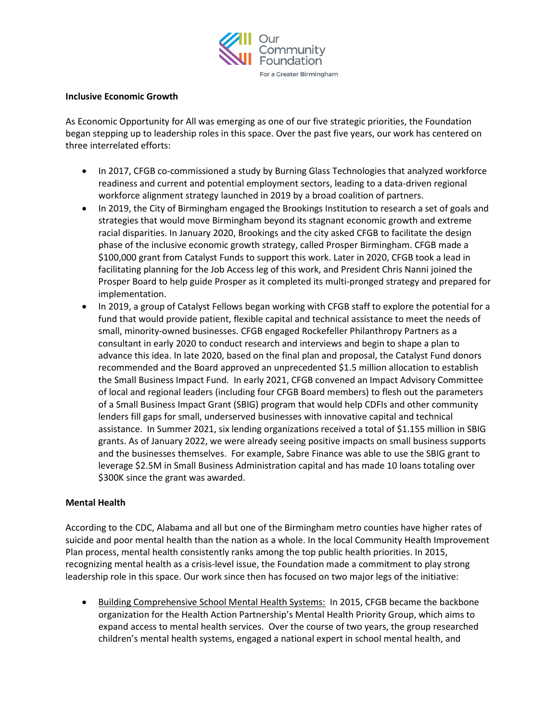

### **Inclusive Economic Growth**

As Economic Opportunity for All was emerging as one of our five strategic priorities, the Foundation began stepping up to leadership roles in this space. Over the past five years, our work has centered on three interrelated efforts:

- In 2017, CFGB co-commissioned a study by Burning Glass Technologies that analyzed workforce readiness and current and potential employment sectors, leading to a data-driven regional workforce alignment strategy launched in 2019 by a broad coalition of partners.
- In 2019, the City of Birmingham engaged the Brookings Institution to research a set of goals and strategies that would move Birmingham beyond its stagnant economic growth and extreme racial disparities. In January 2020, Brookings and the city asked CFGB to facilitate the design phase of the inclusive economic growth strategy, called Prosper Birmingham. CFGB made a \$100,000 grant from Catalyst Funds to support this work. Later in 2020, CFGB took a lead in facilitating planning for the Job Access leg of this work, and President Chris Nanni joined the Prosper Board to help guide Prosper as it completed its multi-pronged strategy and prepared for implementation.
- In 2019, a group of Catalyst Fellows began working with CFGB staff to explore the potential for a fund that would provide patient, flexible capital and technical assistance to meet the needs of small, minority-owned businesses. CFGB engaged Rockefeller Philanthropy Partners as a consultant in early 2020 to conduct research and interviews and begin to shape a plan to advance this idea. In late 2020, based on the final plan and proposal, the Catalyst Fund donors recommended and the Board approved an unprecedented \$1.5 million allocation to establish the Small Business Impact Fund. In early 2021, CFGB convened an Impact Advisory Committee of local and regional leaders (including four CFGB Board members) to flesh out the parameters of a Small Business Impact Grant (SBIG) program that would help CDFIs and other community lenders fill gaps for small, underserved businesses with innovative capital and technical assistance. In Summer 2021, six lending organizations received a total of \$1.155 million in SBIG grants. As of January 2022, we were already seeing positive impacts on small business supports and the businesses themselves. For example, Sabre Finance was able to use the SBIG grant to leverage \$2.5M in Small Business Administration capital and has made 10 loans totaling over \$300K since the grant was awarded.

# **Mental Health**

According to the CDC, Alabama and all but one of the Birmingham metro counties have higher rates of suicide and poor mental health than the nation as a whole. In the local Community Health Improvement Plan process, mental health consistently ranks among the top public health priorities. In 2015, recognizing mental health as a crisis-level issue, the Foundation made a commitment to play strong leadership role in this space. Our work since then has focused on two major legs of the initiative:

• Building Comprehensive School Mental Health Systems: In 2015, CFGB became the backbone organization for the Health Action Partnership's Mental Health Priority Group, which aims to expand access to mental health services. Over the course of two years, the group researched children's mental health systems, engaged a national expert in school mental health, and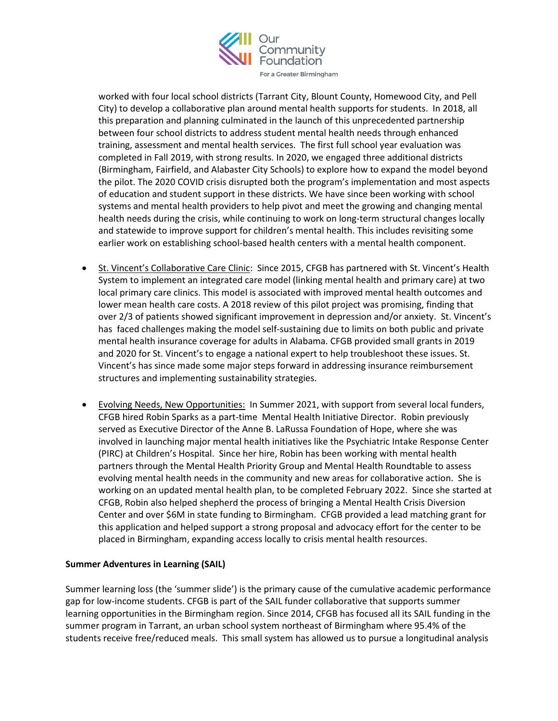

worked with four local school districts (Tarrant City, Blount County, Homewood City, and Pell City) to develop a collaborative plan around mental health supports for students. In 2018, all this preparation and planning culminated in the launch of this unprecedented partnership between four school districts to address student mental health needs through enhanced training, assessment and mental health services. The first full school year evaluation was completed in Fall 2019, with strong results. In 2020, we engaged three additional districts (Birmingham, Fairfield, and Alabaster City Schools) to explore how to expand the model beyond the pilot. The 2020 COVID crisis disrupted both the program's implementation and most aspects of education and student support in these districts. We have since been working with school systems and mental health providers to help pivot and meet the growing and changing mental health needs during the crisis, while continuing to work on long-term structural changes locally and statewide to improve support for children's mental health. This includes revisiting some earlier work on establishing school-based health centers with a mental health component.

- St. Vincent's Collaborative Care Clinic: Since 2015, CFGB has partnered with St. Vincent's Health System to implement an integrated care model (linking mental health and primary care) at two local primary care clinics. This model is associated with improved mental health outcomes and lower mean health care costs. A 2018 review of this pilot project was promising, finding that over 2/3 of patients showed significant improvement in depression and/or anxiety. St. Vincent's has faced challenges making the model self-sustaining due to limits on both public and private mental health insurance coverage for adults in Alabama. CFGB provided small grants in 2019 and 2020 for St. Vincent's to engage a national expert to help troubleshoot these issues. St. Vincent's has since made some major steps forward in addressing insurance reimbursement structures and implementing sustainability strategies.
- Evolving Needs, New Opportunities: In Summer 2021, with support from several local funders, CFGB hired Robin Sparks as a part-time Mental Health Initiative Director. Robin previously served as Executive Director of the Anne B. LaRussa Foundation of Hope, where she was involved in launching major mental health initiatives like the Psychiatric Intake Response Center (PIRC) at Children's Hospital. Since her hire, Robin has been working with mental health partners through the Mental Health Priority Group and Mental Health Roundtable to assess evolving mental health needs in the community and new areas for collaborative action. She is working on an updated mental health plan, to be completed February 2022. Since she started at CFGB, Robin also helped shepherd the process of bringing a Mental Health Crisis Diversion Center and over \$6M in state funding to Birmingham. CFGB provided a lead matching grant for this application and helped support a strong proposal and advocacy effort for the center to be placed in Birmingham, expanding access locally to crisis mental health resources.

# **Summer Adventures in Learning (SAIL)**

Summer learning loss (the 'summer slide') is the primary cause of the cumulative academic performance gap for low-income students. CFGB is part of the SAIL funder collaborative that supports summer learning opportunities in the Birmingham region. Since 2014, CFGB has focused all its SAIL funding in the summer program in Tarrant, an urban school system northeast of Birmingham where 95.4% of the students receive free/reduced meals. This small system has allowed us to pursue a longitudinal analysis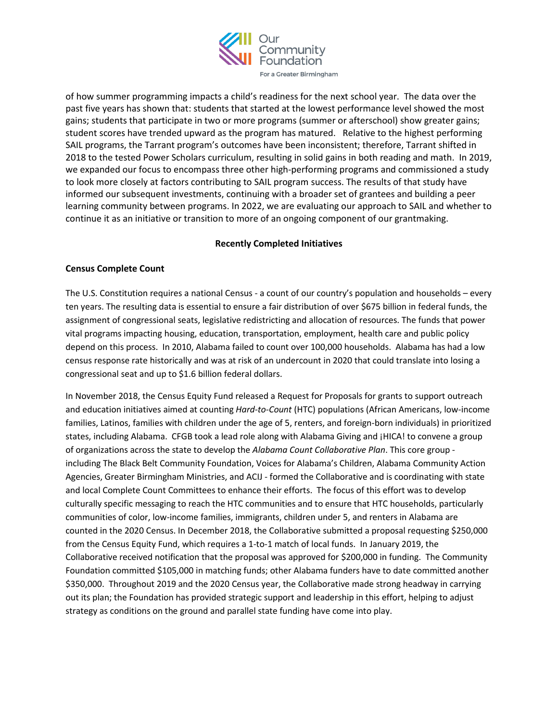

of how summer programming impacts a child's readiness for the next school year. The data over the past five years has shown that: students that started at the lowest performance level showed the most gains; students that participate in two or more programs (summer or afterschool) show greater gains; student scores have trended upward as the program has matured. Relative to the highest performing SAIL programs, the Tarrant program's outcomes have been inconsistent; therefore, Tarrant shifted in 2018 to the tested Power Scholars curriculum, resulting in solid gains in both reading and math. In 2019, we expanded our focus to encompass three other high-performing programs and commissioned a study to look more closely at factors contributing to SAIL program success. The results of that study have informed our subsequent investments, continuing with a broader set of grantees and building a peer learning community between programs. In 2022, we are evaluating our approach to SAIL and whether to continue it as an initiative or transition to more of an ongoing component of our grantmaking.

# **Recently Completed Initiatives**

#### **Census Complete Count**

The U.S. Constitution requires a national Census - a count of our country's population and households – every ten years. The resulting data is essential to ensure a fair distribution of over \$675 billion in federal funds, the assignment of congressional seats, legislative redistricting and allocation of resources. The funds that power vital programs impacting housing, education, transportation, employment, health care and public policy depend on this process. In 2010, Alabama failed to count over 100,000 households. Alabama has had a low census response rate historically and was at risk of an undercount in 2020 that could translate into losing a congressional seat and up to \$1.6 billion federal dollars.

In November 2018, the Census Equity Fund released a Request for Proposals for grants to support outreach and education initiatives aimed at counting *Hard-to-Count* (HTC) populations (African Americans, low-income families, Latinos, families with children under the age of 5, renters, and foreign-born individuals) in prioritized states, including Alabama. CFGB took a lead role along with Alabama Giving and ¡HICA! to convene a group of organizations across the state to develop the *Alabama Count Collaborative Plan*. This core group including The Black Belt Community Foundation, Voices for Alabama's Children, Alabama Community Action Agencies, Greater Birmingham Ministries, and ACIJ - formed the Collaborative and is coordinating with state and local Complete Count Committees to enhance their efforts. The focus of this effort was to develop culturally specific messaging to reach the HTC communities and to ensure that HTC households, particularly communities of color, low-income families, immigrants, children under 5, and renters in Alabama are counted in the 2020 Census. In December 2018, the Collaborative submitted a proposal requesting \$250,000 from the Census Equity Fund, which requires a 1-to-1 match of local funds. In January 2019, the Collaborative received notification that the proposal was approved for \$200,000 in funding. The Community Foundation committed \$105,000 in matching funds; other Alabama funders have to date committed another \$350,000. Throughout 2019 and the 2020 Census year, the Collaborative made strong headway in carrying out its plan; the Foundation has provided strategic support and leadership in this effort, helping to adjust strategy as conditions on the ground and parallel state funding have come into play.